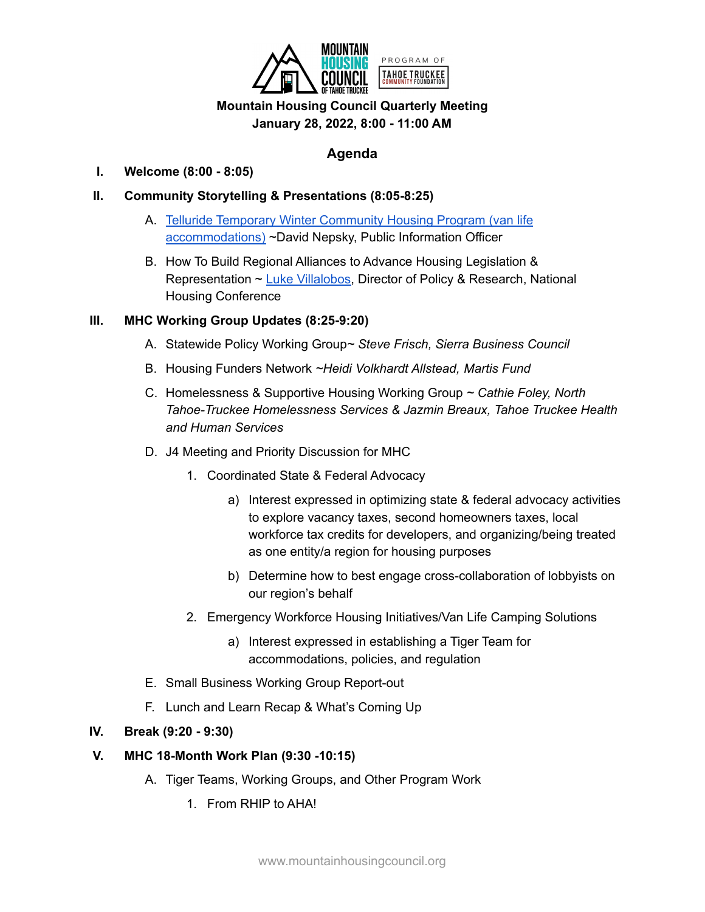

# **January 28, 2022, 8:00 - 11:00 AM**

# **Agenda**

## **I. Welcome (8:00 - 8:05)**

## **II. Community Storytelling & Presentations (8:05-8:25)**

- A. Telluride Temporary Winter [Community](https://www.telluridenews.com/news/article_b086ad36-4403-11ec-b3b8-03b1a5ce409f.html) Housing Program (van life [accommodations\)](https://www.telluridenews.com/news/article_b086ad36-4403-11ec-b3b8-03b1a5ce409f.html) ~David Nepsky, Public Information Officer
- B. How To Build Regional Alliances to Advance Housing Legislation & Representation ~ Luke [Villalobos,](https://nhc.org/staff/luke-villalobos/) Director of Policy & Research, National Housing Conference

## **III. MHC Working Group Updates (8:25-9:20)**

- A. Statewide Policy Working Group*~ Steve Frisch, Sierra Business Council*
- B. Housing Funders Network *~Heidi Volkhardt Allstead, Martis Fund*
- C. Homelessness & Supportive Housing Working Group *~ Cathie Foley, North Tahoe-Truckee Homelessness Services & Jazmin Breaux, Tahoe Truckee Health and Human Services*
- D. J4 Meeting and Priority Discussion for MHC
	- 1. Coordinated State & Federal Advocacy
		- a) Interest expressed in optimizing state & federal advocacy activities to explore vacancy taxes, second homeowners taxes, local workforce tax credits for developers, and organizing/being treated as one entity/a region for housing purposes
		- b) Determine how to best engage cross-collaboration of lobbyists on our region's behalf
	- 2. Emergency Workforce Housing Initiatives/Van Life Camping Solutions
		- a) Interest expressed in establishing a Tiger Team for accommodations, policies, and regulation
- E. Small Business Working Group Report-out
- F. Lunch and Learn Recap & What's Coming Up

#### **IV. Break (9:20 - 9:30)**

#### **V. MHC 18-Month Work Plan (9:30 -10:15)**

- A. Tiger Teams, Working Groups, and Other Program Work
	- 1. From RHIP to AHA!